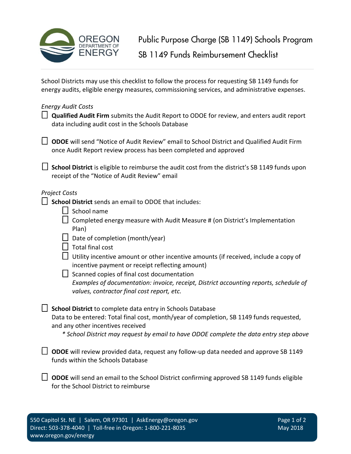

School Districts may use this checklist to follow the process for requesting SB 1149 funds for energy audits, eligible energy measures, commissioning services, and administrative expenses.

## *Energy Audit Costs*

| $\Box$ Qualified Audit Firm submits the Audit Report to ODOE for review, and enters audit report |
|--------------------------------------------------------------------------------------------------|
| data including audit cost in the Schools Database                                                |

☐ **ODOE** will send "Notice of Audit Review" email to School District and Qualified Audit Firm once Audit Report review process has been completed and approved

□ School District is eligible to reimburse the audit cost from the district's SB 1149 funds upon receipt of the "Notice of Audit Review" email

## *Project Costs*

☐ **School District** sends an email to ODOE that includes:

☐ School name

 $\Box$  Completed energy measure with Audit Measure # (on District's Implementation Plan)

- $\Box$  Date of completion (month/year)
- $\Box$  Total final cost
- $\Box$  Utility incentive amount or other incentive amounts (if received, include a copy of incentive payment or receipt reflecting amount)
- ☐ Scanned copies of final cost documentation *Examples of documentation: invoice, receipt, District accounting reports, schedule of values, contractor final cost report, etc.*

☐ **School District** to complete data entry in Schools Database

Data to be entered: Total final cost, month/year of completion, SB 1149 funds requested, and any other incentives received

*\* School District may request by email to have ODOE complete the data entry step above*

☐ **ODOE** will review provided data, request any follow-up data needed and approve SB 1149 funds within the Schools Database

□ ODOE will send an email to the School District confirming approved SB 1149 funds eligible for the School District to reimburse